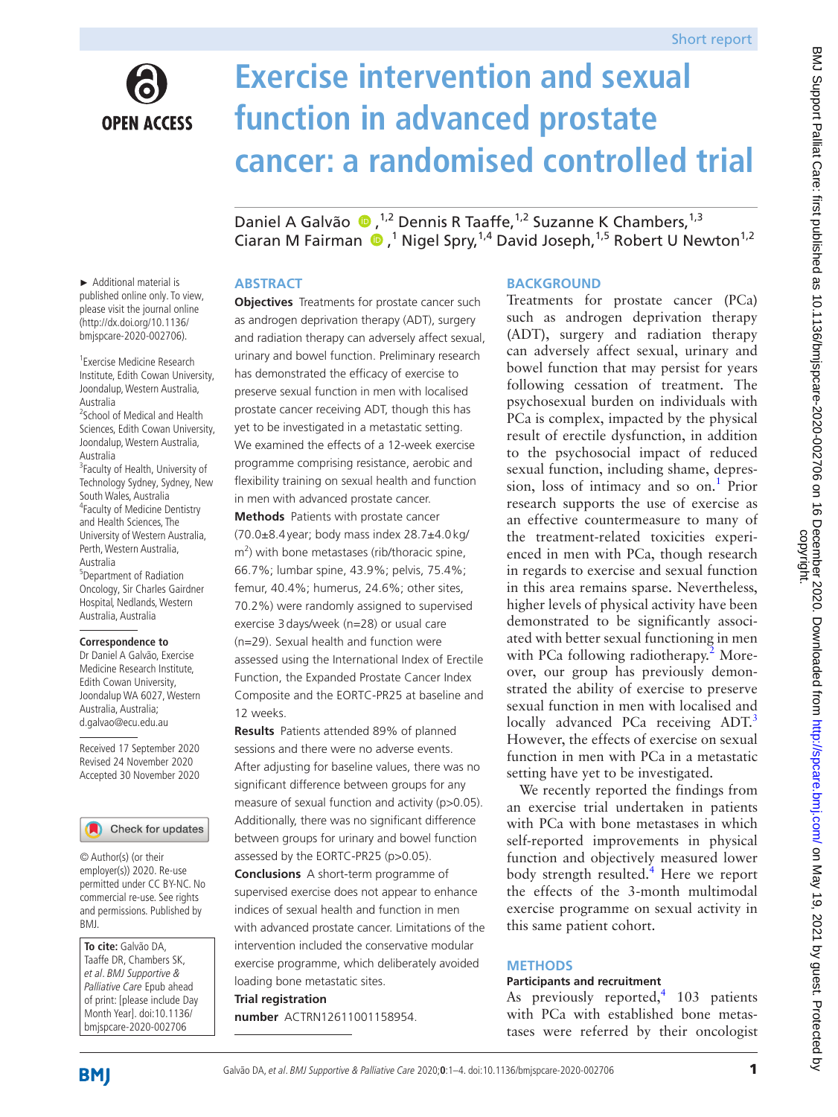

# **Exercise intervention and sexual function in advanced prostate cancer: a randomised controlled trial**

DanielA Galvão (D, <sup>1,2</sup> Dennis R Taaffe, <sup>1,2</sup> Suzanne K Chambers, <sup>1,3</sup> Ciaran M Fairman  $\bigcirc$ ,<sup>1</sup> Nigel Spry,<sup>1,4</sup> David Joseph,<sup>1,5</sup> Robert U Newton<sup>1,2</sup>

## **ABSTRACT**

**Objectives** Treatments for prostate cancer such as androgen deprivation therapy (ADT), surgery and radiation therapy can adversely affect sexual, urinary and bowel function. Preliminary research has demonstrated the efficacy of exercise to preserve sexual function in men with localised prostate cancer receiving ADT, though this has yet to be investigated in a metastatic setting. We examined the effects of a 12-week exercise programme comprising resistance, aerobic and flexibility training on sexual health and function in men with advanced prostate cancer.

**Methods** Patients with prostate cancer (70.0±8.4year; body mass index 28.7±4.0kg/  $m<sup>2</sup>$ ) with bone metastases (rib/thoracic spine, 66.7%; lumbar spine, 43.9%; pelvis, 75.4%; femur, 40.4%; humerus, 24.6%; other sites, 70.2%) were randomly assigned to supervised exercise 3days/week (n=28) or usual care (n=29). Sexual health and function were assessed using the International Index of Erectile Function, the Expanded Prostate Cancer Index Composite and the EORTC-PR25 at baseline and 12 weeks.

**Results** Patients attended 89% of planned sessions and there were no adverse events. After adjusting for baseline values, there was no significant difference between groups for any measure of sexual function and activity (p>0.05). Additionally, there was no significant difference between groups for urinary and bowel function assessed by the EORTC-PR25 (p>0.05). **Conclusions** A short-term programme of supervised exercise does not appear to enhance indices of sexual health and function in men with advanced prostate cancer. Limitations of the intervention included the conservative modular exercise programme, which deliberately avoided loading bone metastatic sites. **Trial registration** 

**number** ACTRN12611001158954.

## **BACKGROUND**

Treatments for prostate cancer (PCa) such as androgen deprivation therapy (ADT), surgery and radiation therapy can adversely affect sexual, urinary and bowel function that may persist for years following cessation of treatment. The psychosexual burden on individuals with PCa is complex, impacted by the physical result of erectile dysfunction, in addition to the psychosocial impact of reduced sexual function, including shame, depres-sion, loss of intimacy and so on.<sup>[1](#page-2-0)</sup> Prior research supports the use of exercise as an effective countermeasure to many of the treatment-related toxicities experienced in men with PCa, though research in regards to exercise and sexual function in this area remains sparse. Nevertheless, higher levels of physical activity have been demonstrated to be significantly associated with better sexual functioning in men with PCa following radiotherapy.<sup>2</sup> Moreover, our group has previously demonstrated the ability of exercise to preserve sexual function in men with localised and locally advanced PCa receiving ADT.<sup>3</sup> However, the effects of exercise on sexual function in men with PCa in a metastatic setting have yet to be investigated.

We recently reported the findings from an exercise trial undertaken in patients with PCa with bone metastases in which self-reported improvements in physical function and objectively measured lower body strength resulted.<sup>[4](#page-2-3)</sup> Here we report the effects of the 3-month multimodal exercise programme on sexual activity in this same patient cohort.

#### **METHODS**

#### **Participants and recruitment**

As previously reported,<sup>[4](#page-2-3)</sup> 103 patients with PCa with established bone metastases were referred by their oncologist

► Additional material is published online only. To view, please visit the journal online ([http://dx.doi.org/10.1136/](http://dx.doi.org/10.1136/bmjpo-2020-000755).) [bmjspcare-2020-002706](http://dx.doi.org/10.1136/bmjpo-2020-000755).)).

1 Exercise Medicine Research Institute, Edith Cowan University, Joondalup, Western Australia, Australia <sup>2</sup> School of Medical and Health Sciences, Edith Cowan University, Joondalup, Western Australia, Australia <sup>3</sup> Faculty of Health, University of Technology Sydney, Sydney, New South Wales, Australia 4 Faculty of Medicine Dentistry and Health Sciences, The University of Western Australia, Perth, Western Australia, Australia 5 Department of Radiation Oncology, Sir Charles Gairdner Hospital, Nedlands, Western Australia, Australia

#### **Correspondence to**

Dr Daniel A Galvão, Exercise Medicine Research Institute, Edith Cowan University, Joondalup WA 6027, Western Australia, Australia; d.galvao@ecu.edu.au

Received 17 September 2020 Revised 24 November 2020 Accepted 30 November 2020

#### Check for updates

© Author(s) (or their employer(s)) 2020. Re-use permitted under CC BY-NC. No commercial re-use. See rights and permissions. Published by BMJ.

**To cite:** Galvão DA, Taaffe DR, Chambers SK, et al. BMJ Supportive & Palliative Care Epub ahead of print: [please include Day Month Year]. doi:10.1136/ bmjspcare-2020-002706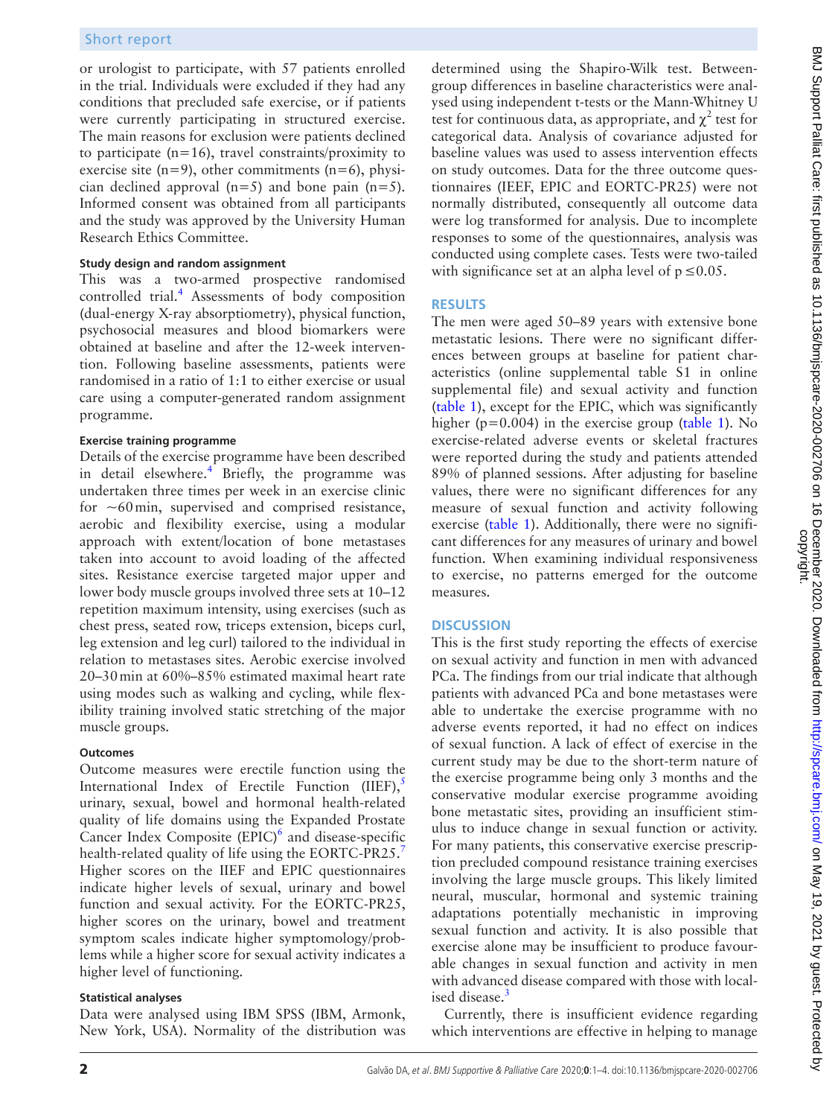or urologist to participate, with 57 patients enrolled in the trial. Individuals were excluded if they had any conditions that precluded safe exercise, or if patients were currently participating in structured exercise. The main reasons for exclusion were patients declined to participate  $(n=16)$ , travel constraints/proximity to exercise site  $(n=9)$ , other commitments  $(n=6)$ , physician declined approval  $(n=5)$  and bone pain  $(n=5)$ . Informed consent was obtained from all participants and the study was approved by the University Human Research Ethics Committee.

#### **Study design and random assignment**

This was a two-armed prospective randomised controlled trial.<sup>[4](#page-2-3)</sup> Assessments of body composition (dual-energy X-ray absorptiometry), physical function, psychosocial measures and blood biomarkers were obtained at baseline and after the 12-week intervention. Following baseline assessments, patients were randomised in a ratio of 1:1 to either exercise or usual care using a computer-generated random assignment programme.

#### **Exercise training programme**

Details of the exercise programme have been described in detail elsewhere.<sup>4</sup> Briefly, the programme was undertaken three times per week in an exercise clinic for  $~60$  min, supervised and comprised resistance, aerobic and flexibility exercise, using a modular approach with extent/location of bone metastases taken into account to avoid loading of the affected sites. Resistance exercise targeted major upper and lower body muscle groups involved three sets at 10–12 repetition maximum intensity, using exercises (such as chest press, seated row, triceps extension, biceps curl, leg extension and leg curl) tailored to the individual in relation to metastases sites. Aerobic exercise involved 20–30min at 60%–85% estimated maximal heart rate using modes such as walking and cycling, while flexibility training involved static stretching of the major muscle groups.

#### **Outcomes**

Outcome measures were erectile function using the International Index of Erectile Function  $(IIEF)$ ,<sup>[5](#page-3-0)</sup> urinary, sexual, bowel and hormonal health-related quality of life domains using the Expanded Prostate Cancer Index Composite  $(EPIC)^6$  $(EPIC)^6$  and disease-specific health-related quality of life using the EORTC-PR25.<sup>[7](#page-3-2)</sup> Higher scores on the IIEF and EPIC questionnaires indicate higher levels of sexual, urinary and bowel function and sexual activity. For the EORTC-PR25, higher scores on the urinary, bowel and treatment symptom scales indicate higher symptomology/problems while a higher score for sexual activity indicates a higher level of functioning.

#### **Statistical analyses**

Data were analysed using IBM SPSS (IBM, Armonk, New York, USA). Normality of the distribution was

determined using the Shapiro-Wilk test. Betweengroup differences in baseline characteristics were analysed using independent t-tests or the Mann-Whitney U test for continuous data, as appropriate, and  $\chi^2$  test for categorical data. Analysis of covariance adjusted for baseline values was used to assess intervention effects on study outcomes. Data for the three outcome questionnaires (IEEF, EPIC and EORTC-PR25) were not normally distributed, consequently all outcome data were log transformed for analysis. Due to incomplete responses to some of the questionnaires, analysis was conducted using complete cases. Tests were two-tailed with significance set at an alpha level of  $p \le 0.05$ .

## **RESULTS**

The men were aged 50–89 years with extensive bone metastatic lesions. There were no significant differences between groups at baseline for patient characteristics ([online supplemental table S1](https://dx.doi.org/10.1136/bmjspcare-2020-002706) in [online](https://dx.doi.org/10.1136/bmjspcare-2020-002706)  [supplemental file\)](https://dx.doi.org/10.1136/bmjspcare-2020-002706) and sexual activity and function [\(table](#page-2-4) 1), except for the EPIC, which was significantly higher ( $p=0.004$ ) in the exercise group ([table](#page-2-4) 1). No exercise-related adverse events or skeletal fractures were reported during the study and patients attended 89% of planned sessions. After adjusting for baseline values, there were no significant differences for any measure of sexual function and activity following exercise ([table](#page-2-4) 1). Additionally, there were no significant differences for any measures of urinary and bowel function. When examining individual responsiveness to exercise, no patterns emerged for the outcome measures.

## **DISCUSSION**

This is the first study reporting the effects of exercise on sexual activity and function in men with advanced PCa. The findings from our trial indicate that although patients with advanced PCa and bone metastases were able to undertake the exercise programme with no adverse events reported, it had no effect on indices of sexual function. A lack of effect of exercise in the current study may be due to the short-term nature of the exercise programme being only 3 months and the conservative modular exercise programme avoiding bone metastatic sites, providing an insufficient stimulus to induce change in sexual function or activity. For many patients, this conservative exercise prescription precluded compound resistance training exercises involving the large muscle groups. This likely limited neural, muscular, hormonal and systemic training adaptations potentially mechanistic in improving sexual function and activity. It is also possible that exercise alone may be insufficient to produce favourable changes in sexual function and activity in men with advanced disease compared with those with local-ised disease.<sup>[3](#page-2-2)</sup>

Currently, there is insufficient evidence regarding which interventions are effective in helping to manage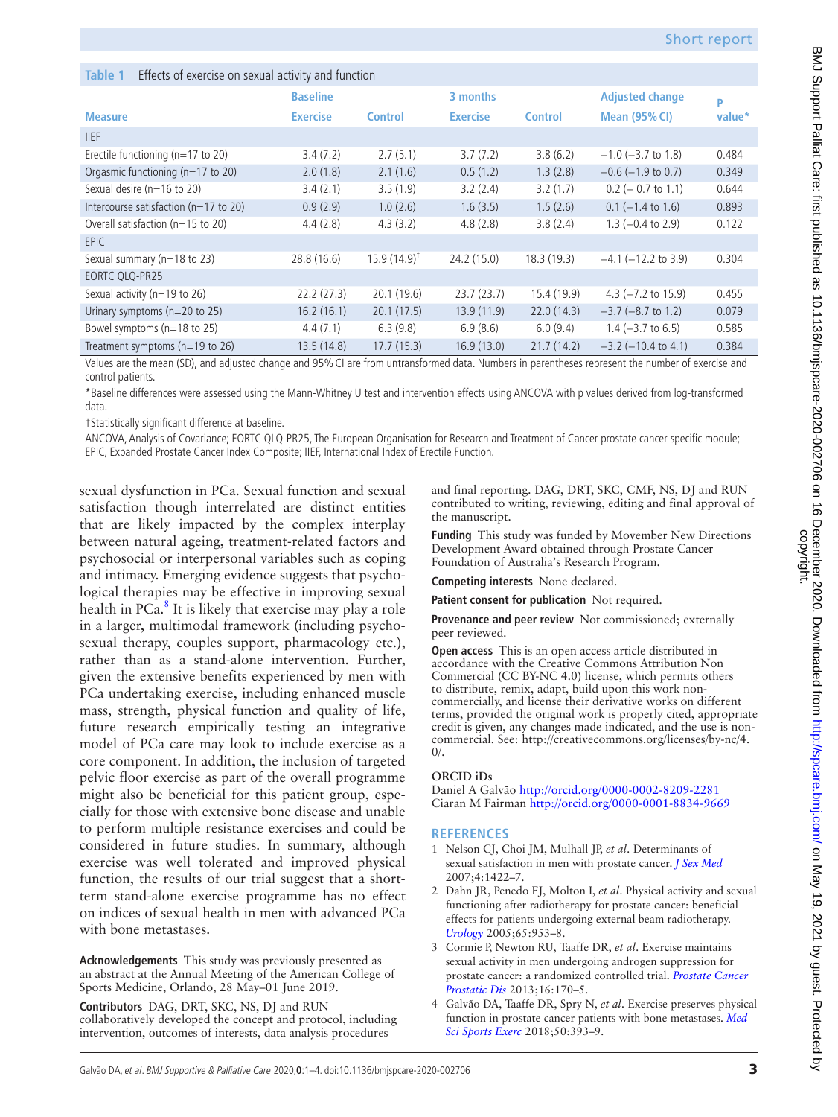## <span id="page-2-4"></span>**Table 1** Effects of exercise on sexual activity and function

|                                          | <b>Baseline</b> |                        | 3 months        |                | <b>Adjusted change</b>       | P      |
|------------------------------------------|-----------------|------------------------|-----------------|----------------|------------------------------|--------|
| <b>Measure</b>                           | <b>Exercise</b> | <b>Control</b>         | <b>Exercise</b> | <b>Control</b> | <b>Mean (95% CI)</b>         | value* |
| <b>IIEF</b>                              |                 |                        |                 |                |                              |        |
| Erectile functioning ( $n=17$ to 20)     | 3.4(7.2)        | 2.7(5.1)               | 3.7(7.2)        | 3.8(6.2)       | $-1.0$ ( $-3.7$ to 1.8)      | 0.484  |
| Orgasmic functioning (n=17 to 20)        | 2.0(1.8)        | 2.1(1.6)               | 0.5(1.2)        | 1.3(2.8)       | $-0.6$ ( $-1.9$ to 0.7)      | 0.349  |
| Sexual desire ( $n=16$ to 20)            | 3.4(2.1)        | 3.5(1.9)               | 3.2(2.4)        | 3.2(1.7)       | $0.2$ (- 0.7 to 1.1)         | 0.644  |
| Intercourse satisfaction ( $n=17$ to 20) | 0.9(2.9)        | 1.0(2.6)               | 1.6(3.5)        | 1.5(2.6)       | $0.1$ (-1.4 to 1.6)          | 0.893  |
| Overall satisfaction ( $n=15$ to 20)     | 4.4(2.8)        | 4.3(3.2)               | 4.8(2.8)        | 3.8(2.4)       | $1.3$ (-0.4 to 2.9)          | 0.122  |
| <b>EPIC</b>                              |                 |                        |                 |                |                              |        |
| Sexual summary (n=18 to 23)              | 28.8 (16.6)     | $15.9(14.9)^{\dagger}$ | 24.2 (15.0)     | 18.3(19.3)     | $-4.1$ ( $-12.2$ to 3.9)     | 0.304  |
| EORTC QLQ-PR25                           |                 |                        |                 |                |                              |        |
| Sexual activity (n=19 to 26)             | 22.2(27.3)      | 20.1(19.6)             | 23.7(23.7)      | 15.4 (19.9)    | 4.3 $(-7.2$ to 15.9)         | 0.455  |
| Urinary symptoms (n=20 to 25)            | 16.2(16.1)      | 20.1(17.5)             | 13.9(11.9)      | 22.0(14.3)     | $-3.7$ ( $-8.7$ to 1.2)      | 0.079  |
| Bowel symptoms (n=18 to 25)              | 4.4(7.1)        | 6.3(9.8)               | 6.9(8.6)        | 6.0(9.4)       | $1.4 (-3.7 \text{ to } 6.5)$ | 0.585  |
| Treatment symptoms ( $n=19$ to 26)       | 13.5(14.8)      | 17.7(15.3)             | 16.9(13.0)      | 21.7(14.2)     | $-3.2$ ( $-10.4$ to 4.1)     | 0.384  |

Values are the mean (SD), and adjusted change and 95% CI are from untransformed data. Numbers in parentheses represent the number of exercise and control patients.

\*Baseline differences were assessed using the Mann-Whitney U test and intervention effects using ANCOVA with p values derived from log-transformed data.

†Statistically significant difference at baseline.

ANCOVA, Analysis of Covariance; EORTC QLQ-PR25, The European Organisation for Research and Treatment of Cancer prostate cancer-specific module; EPIC, Expanded Prostate Cancer Index Composite; IIEF, International Index of Erectile Function.

sexual dysfunction in PCa. Sexual function and sexual satisfaction though interrelated are distinct entities that are likely impacted by the complex interplay between natural ageing, treatment-related factors and psychosocial or interpersonal variables such as coping and intimacy. Emerging evidence suggests that psychological therapies may be effective in improving sexual health in PCa.<sup>[8](#page-3-3)</sup> It is likely that exercise may play a role in a larger, multimodal framework (including psychosexual therapy, couples support, pharmacology etc.), rather than as a stand-alone intervention. Further, given the extensive benefits experienced by men with PCa undertaking exercise, including enhanced muscle mass, strength, physical function and quality of life, future research empirically testing an integrative model of PCa care may look to include exercise as a core component. In addition, the inclusion of targeted pelvic floor exercise as part of the overall programme might also be beneficial for this patient group, especially for those with extensive bone disease and unable to perform multiple resistance exercises and could be considered in future studies. In summary, although exercise was well tolerated and improved physical function, the results of our trial suggest that a shortterm stand-alone exercise programme has no effect on indices of sexual health in men with advanced PCa with bone metastases.

**Acknowledgements** This study was previously presented as an abstract at the Annual Meeting of the American College of Sports Medicine, Orlando, 28 May–01 June 2019.

**Contributors** DAG, DRT, SKC, NS, DJ and RUN

collaboratively developed the concept and protocol, including intervention, outcomes of interests, data analysis procedures

and final reporting. DAG, DRT, SKC, CMF, NS, DJ and RUN contributed to writing, reviewing, editing and final approval of the manuscript.

**Funding** This study was funded by Movember New Directions Development Award obtained through Prostate Cancer Foundation of Australia's Research Program.

**Competing interests** None declared.

**Patient consent for publication** Not required.

**Provenance and peer review** Not commissioned; externally peer reviewed.

**Open access** This is an open access article distributed in accordance with the Creative Commons Attribution Non Commercial (CC BY-NC 4.0) license, which permits others to distribute, remix, adapt, build upon this work noncommercially, and license their derivative works on different terms, provided the original work is properly cited, appropriate credit is given, any changes made indicated, and the use is noncommercial. See: [http://creativecommons.org/licenses/by-nc/4.](http://creativecommons.org/licenses/by-nc/4.0/)  $0/$ .

#### **ORCID iDs**

Daniel A Galvão<http://orcid.org/0000-0002-8209-2281> Ciaran M Fairman <http://orcid.org/0000-0001-8834-9669>

#### **REFERENCES**

- <span id="page-2-0"></span>1 Nelson CJ, Choi JM, Mulhall JP, *et al*. Determinants of sexual satisfaction in men with prostate cancer. *[J Sex Med](http://dx.doi.org/10.1111/j.1743-6109.2007.00547.x)* 2007;4:1422–7.
- <span id="page-2-1"></span>2 Dahn JR, Penedo FJ, Molton I, *et al*. Physical activity and sexual functioning after radiotherapy for prostate cancer: beneficial effects for patients undergoing external beam radiotherapy. *[Urology](http://dx.doi.org/10.1016/j.urology.2004.11.029)* 2005;65:953–8.
- <span id="page-2-2"></span>3 Cormie P, Newton RU, Taaffe DR, *et al*. Exercise maintains sexual activity in men undergoing androgen suppression for prostate cancer: a randomized controlled trial. *[Prostate Cancer](http://dx.doi.org/10.1038/pcan.2012.52)  [Prostatic Dis](http://dx.doi.org/10.1038/pcan.2012.52)* 2013;16:170–5.
- <span id="page-2-3"></span>4 Galvão DA, Taaffe DR, Spry N, *et al*. Exercise preserves physical function in prostate cancer patients with bone metastases. *[Med](http://dx.doi.org/10.1249/MSS.0000000000001454)  [Sci Sports Exerc](http://dx.doi.org/10.1249/MSS.0000000000001454)* 2018;50:393–9.